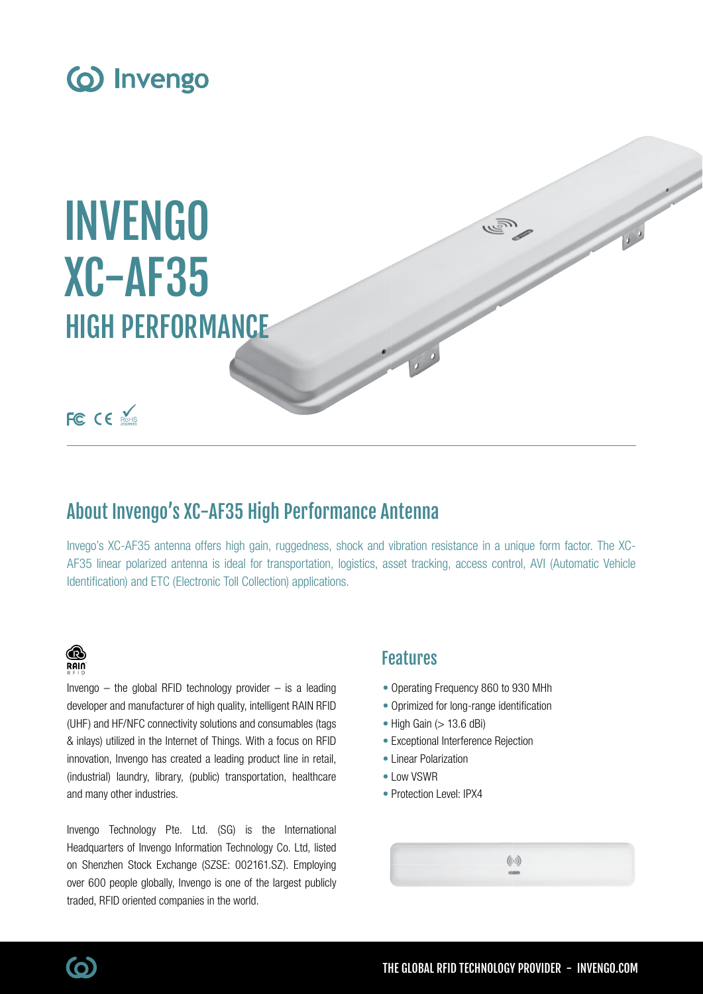

# INVENGO XC-AF35 HIGH PERFORMANCE

# FC CE ROHS

# About Invengo's XC-AF35 High Performance Antenna

Invego's XC-AF35 antenna offers high gain, ruggedness, shock and vibration resistance in a unique form factor. The XC-AF35 linear polarized antenna is ideal for transportation, logistics, asset tracking, access control, AVI (Automatic Vehicle Identification) and ETC (Electronic Toll Collection) applications.

# ⋒ RAIN

Invengo  $-$  the global RFID technology provider  $-$  is a leading developer and manufacturer of high quality, intelligent RAIN RFID (UHF) and HF/NFC connectivity solutions and consumables (tags & inlays) utilized in the Internet of Things. With a focus on RFID innovation, Invengo has created a leading product line in retail, (industrial) laundry, library, (public) transportation, healthcare and many other industries.

Invengo Technology Pte. Ltd. (SG) is the International Headquarters of Invengo Information Technology Co. Ltd, listed on Shenzhen Stock Exchange (SZSE: 002161.SZ). Employing over 600 people globally, Invengo is one of the largest publicly traded, RFID oriented companies in the world.

# Features

- Operating Frequency 860 to 930 MHh
- Oprimized for long-range identification
- $\bullet$  High Gain ( $> 13.6$  dBi)
- Exceptional Interference Rejection
- Linear Polarization
- Low VSWR
- Protection Level: IPX4